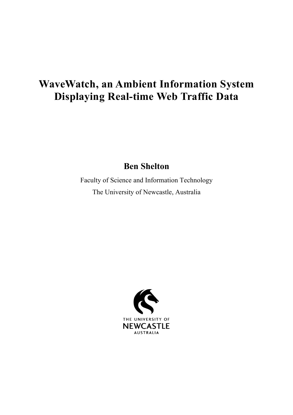## **WaveWatch, an Ambient Information System Displaying Real-time Web Traffic Data**

**Ben Shelton**

Faculty of Science and Information Technology The University of Newcastle, Australia

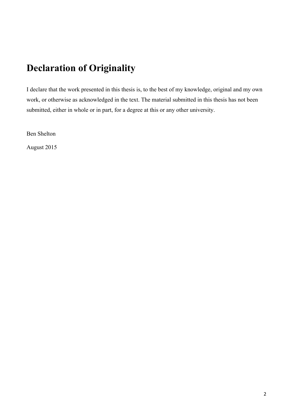#### **Declaration of Originality**

I declare that the work presented in this thesis is, to the best of my knowledge, original and my own work, or otherwise as acknowledged in the text. The material submitted in this thesis has not been submitted, either in whole or in part, for a degree at this or any other university.

Ben Shelton

August 2015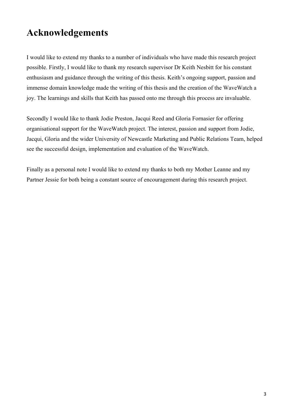#### **Acknowledgements**

I would like to extend my thanks to a number of individuals who have made this research project possible. Firstly, I would like to thank my research supervisor Dr Keith Nesbitt for his constant enthusiasm and guidance through the writing of this thesis. Keith's ongoing support, passion and immense domain knowledge made the writing of this thesis and the creation of the WaveWatch a joy. The learnings and skills that Keith has passed onto me through this process are invaluable.

Secondly I would like to thank Jodie Preston, Jacqui Reed and Gloria Fornasier for offering organisational support for the WaveWatch project. The interest, passion and support from Jodie, Jacqui, Gloria and the wider University of Newcastle Marketing and Public Relations Team, helped see the successful design, implementation and evaluation of the WaveWatch.

Finally as a personal note I would like to extend my thanks to both my Mother Leanne and my Partner Jessie for both being a constant source of encouragement during this research project.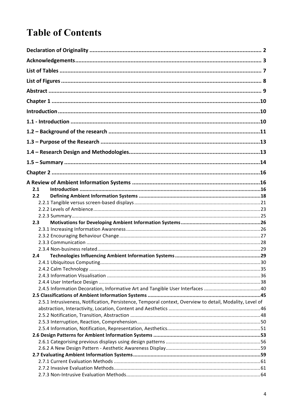## **Table of Contents**

| 2.1 |                                                                                                          |  |
|-----|----------------------------------------------------------------------------------------------------------|--|
| 2.2 |                                                                                                          |  |
|     |                                                                                                          |  |
|     |                                                                                                          |  |
|     |                                                                                                          |  |
|     |                                                                                                          |  |
| 2.3 |                                                                                                          |  |
|     |                                                                                                          |  |
|     |                                                                                                          |  |
|     |                                                                                                          |  |
|     |                                                                                                          |  |
| 2.4 |                                                                                                          |  |
|     |                                                                                                          |  |
|     |                                                                                                          |  |
|     |                                                                                                          |  |
|     |                                                                                                          |  |
|     |                                                                                                          |  |
|     |                                                                                                          |  |
|     | 2.5.1 Intrusiveness, Notification, Persistence, Temporal context, Overview to detail, Modality, Level of |  |
|     |                                                                                                          |  |
|     |                                                                                                          |  |
|     |                                                                                                          |  |
|     |                                                                                                          |  |
|     |                                                                                                          |  |
|     |                                                                                                          |  |
|     |                                                                                                          |  |
|     |                                                                                                          |  |
|     |                                                                                                          |  |
|     |                                                                                                          |  |
|     |                                                                                                          |  |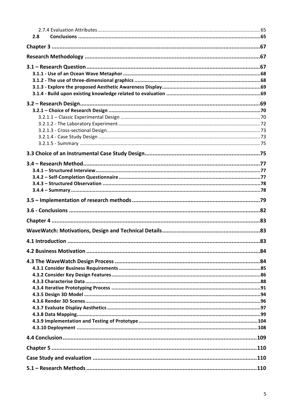| 2.8 |  |
|-----|--|
|     |  |
|     |  |
|     |  |
|     |  |
|     |  |
|     |  |
|     |  |
|     |  |
|     |  |
|     |  |
|     |  |
|     |  |
|     |  |
|     |  |
|     |  |
|     |  |
|     |  |
|     |  |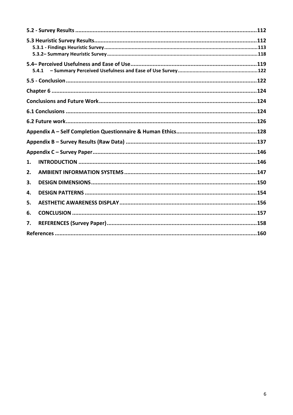| 5.4.1 |  |  |
|-------|--|--|
|       |  |  |
|       |  |  |
|       |  |  |
|       |  |  |
|       |  |  |
|       |  |  |
|       |  |  |
|       |  |  |
| 1.    |  |  |
| 2.    |  |  |
| 3.    |  |  |
| 4.    |  |  |
| 5.    |  |  |
| 6.    |  |  |
| 7.    |  |  |
|       |  |  |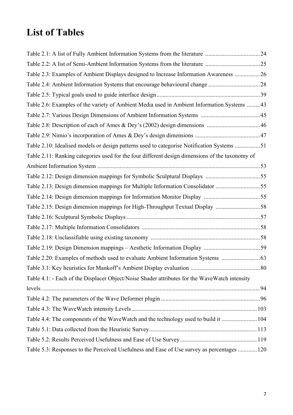## **List of Tables**

| Table 2.3: Examples of Ambient Displays designed to Increase Information Awareness  26          |  |
|-------------------------------------------------------------------------------------------------|--|
|                                                                                                 |  |
|                                                                                                 |  |
| Table 2.6: Examples of the variety of Ambient Media used in Ambient Information Systems  43     |  |
|                                                                                                 |  |
|                                                                                                 |  |
|                                                                                                 |  |
| Table 2.10: Idealised models or design patterns used to categorise Notification Systems 51      |  |
| Table 2.11: Ranking categories used for the four different design dimensions of the taxonomy of |  |
|                                                                                                 |  |
|                                                                                                 |  |
| Table 2.13: Design dimension mappings for Multiple Information Consolidator 55                  |  |
|                                                                                                 |  |
| Table 2.15: Design dimension mappings for High-Throughput Textual Display 58                    |  |
|                                                                                                 |  |
|                                                                                                 |  |
|                                                                                                 |  |
|                                                                                                 |  |
|                                                                                                 |  |
|                                                                                                 |  |
| Table 4.1: - Each of the Displacer Object/Noise Shader attributes for the WaveWatch intensity   |  |
|                                                                                                 |  |
|                                                                                                 |  |
|                                                                                                 |  |
| Table 4.4: The components of the WaveWatch and the technology used to build it  104             |  |
|                                                                                                 |  |
|                                                                                                 |  |
| Table 5.3: Responses to the Perceived Usefulness and Ease of Use survey as percentages  120     |  |
|                                                                                                 |  |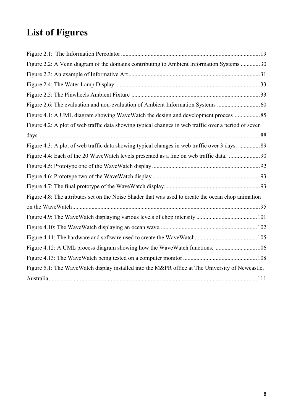# **List of Figures**

| Figure 2.2: A Venn diagram of the domains contributing to Ambient Information Systems 30             |  |
|------------------------------------------------------------------------------------------------------|--|
|                                                                                                      |  |
|                                                                                                      |  |
|                                                                                                      |  |
|                                                                                                      |  |
| Figure 4.1: A UML diagram showing WaveWatch the design and development process                       |  |
| Figure 4.2: A plot of web traffic data showing typical changes in web traffic over a period of seven |  |
|                                                                                                      |  |
| Figure 4.3: A plot of web traffic data showing typical changes in web traffic over 3 days.  89       |  |
|                                                                                                      |  |
|                                                                                                      |  |
|                                                                                                      |  |
|                                                                                                      |  |
| Figure 4.8: The attributes set on the Noise Shader that was used to create the ocean chop animation  |  |
|                                                                                                      |  |
|                                                                                                      |  |
|                                                                                                      |  |
|                                                                                                      |  |
|                                                                                                      |  |
|                                                                                                      |  |
| Figure 5.1: The WaveWatch display installed into the M&PR office at The University of Newcastle,     |  |
|                                                                                                      |  |